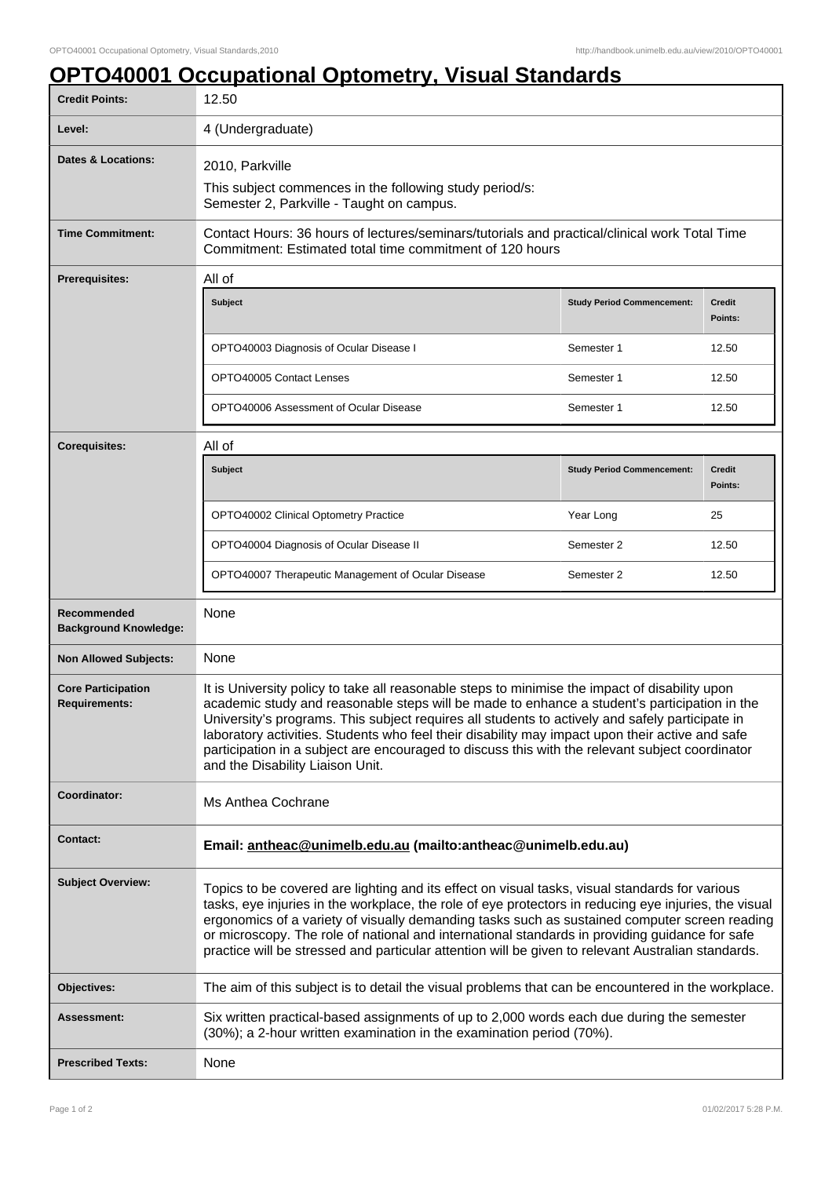## **OPTO40001 Occupational Optometry, Visual Standards**

| <b>Credit Points:</b>                             | 12.50                                                                                                                                                                                                                                                                                                                                                                                                                                                                                                                                       |                                   |                          |
|---------------------------------------------------|---------------------------------------------------------------------------------------------------------------------------------------------------------------------------------------------------------------------------------------------------------------------------------------------------------------------------------------------------------------------------------------------------------------------------------------------------------------------------------------------------------------------------------------------|-----------------------------------|--------------------------|
| Level:                                            | 4 (Undergraduate)                                                                                                                                                                                                                                                                                                                                                                                                                                                                                                                           |                                   |                          |
| <b>Dates &amp; Locations:</b>                     | 2010, Parkville<br>This subject commences in the following study period/s:<br>Semester 2, Parkville - Taught on campus.                                                                                                                                                                                                                                                                                                                                                                                                                     |                                   |                          |
| <b>Time Commitment:</b>                           | Contact Hours: 36 hours of lectures/seminars/tutorials and practical/clinical work Total Time<br>Commitment: Estimated total time commitment of 120 hours                                                                                                                                                                                                                                                                                                                                                                                   |                                   |                          |
| <b>Prerequisites:</b>                             | All of                                                                                                                                                                                                                                                                                                                                                                                                                                                                                                                                      |                                   |                          |
|                                                   | <b>Subject</b>                                                                                                                                                                                                                                                                                                                                                                                                                                                                                                                              | <b>Study Period Commencement:</b> | Credit<br>Points:        |
|                                                   | OPTO40003 Diagnosis of Ocular Disease I                                                                                                                                                                                                                                                                                                                                                                                                                                                                                                     | Semester 1                        | 12.50                    |
|                                                   | OPTO40005 Contact Lenses                                                                                                                                                                                                                                                                                                                                                                                                                                                                                                                    | Semester 1                        | 12.50                    |
|                                                   | OPTO40006 Assessment of Ocular Disease                                                                                                                                                                                                                                                                                                                                                                                                                                                                                                      | Semester 1                        | 12.50                    |
| <b>Corequisites:</b>                              | All of                                                                                                                                                                                                                                                                                                                                                                                                                                                                                                                                      |                                   |                          |
|                                                   | <b>Subject</b>                                                                                                                                                                                                                                                                                                                                                                                                                                                                                                                              | <b>Study Period Commencement:</b> | <b>Credit</b><br>Points: |
|                                                   | OPTO40002 Clinical Optometry Practice                                                                                                                                                                                                                                                                                                                                                                                                                                                                                                       | Year Long                         | 25                       |
|                                                   | OPTO40004 Diagnosis of Ocular Disease II                                                                                                                                                                                                                                                                                                                                                                                                                                                                                                    | Semester 2                        | 12.50                    |
|                                                   | OPTO40007 Therapeutic Management of Ocular Disease                                                                                                                                                                                                                                                                                                                                                                                                                                                                                          | Semester 2                        | 12.50                    |
| Recommended<br><b>Background Knowledge:</b>       | None                                                                                                                                                                                                                                                                                                                                                                                                                                                                                                                                        |                                   |                          |
| <b>Non Allowed Subjects:</b>                      | None                                                                                                                                                                                                                                                                                                                                                                                                                                                                                                                                        |                                   |                          |
| <b>Core Participation</b><br><b>Requirements:</b> | It is University policy to take all reasonable steps to minimise the impact of disability upon<br>academic study and reasonable steps will be made to enhance a student's participation in the<br>University's programs. This subject requires all students to actively and safely participate in<br>laboratory activities. Students who feel their disability may impact upon their active and safe<br>participation in a subject are encouraged to discuss this with the relevant subject coordinator<br>and the Disability Liaison Unit. |                                   |                          |
| Coordinator:                                      | Ms Anthea Cochrane                                                                                                                                                                                                                                                                                                                                                                                                                                                                                                                          |                                   |                          |
| <b>Contact:</b>                                   | Email: antheac@unimelb.edu.au (mailto:antheac@unimelb.edu.au)                                                                                                                                                                                                                                                                                                                                                                                                                                                                               |                                   |                          |
| <b>Subject Overview:</b>                          | Topics to be covered are lighting and its effect on visual tasks, visual standards for various<br>tasks, eye injuries in the workplace, the role of eye protectors in reducing eye injuries, the visual<br>ergonomics of a variety of visually demanding tasks such as sustained computer screen reading<br>or microscopy. The role of national and international standards in providing guidance for safe<br>practice will be stressed and particular attention will be given to relevant Australian standards.                            |                                   |                          |
| Objectives:                                       | The aim of this subject is to detail the visual problems that can be encountered in the workplace.                                                                                                                                                                                                                                                                                                                                                                                                                                          |                                   |                          |
| Assessment:                                       | Six written practical-based assignments of up to 2,000 words each due during the semester<br>(30%); a 2-hour written examination in the examination period (70%).                                                                                                                                                                                                                                                                                                                                                                           |                                   |                          |
| <b>Prescribed Texts:</b>                          | None                                                                                                                                                                                                                                                                                                                                                                                                                                                                                                                                        |                                   |                          |